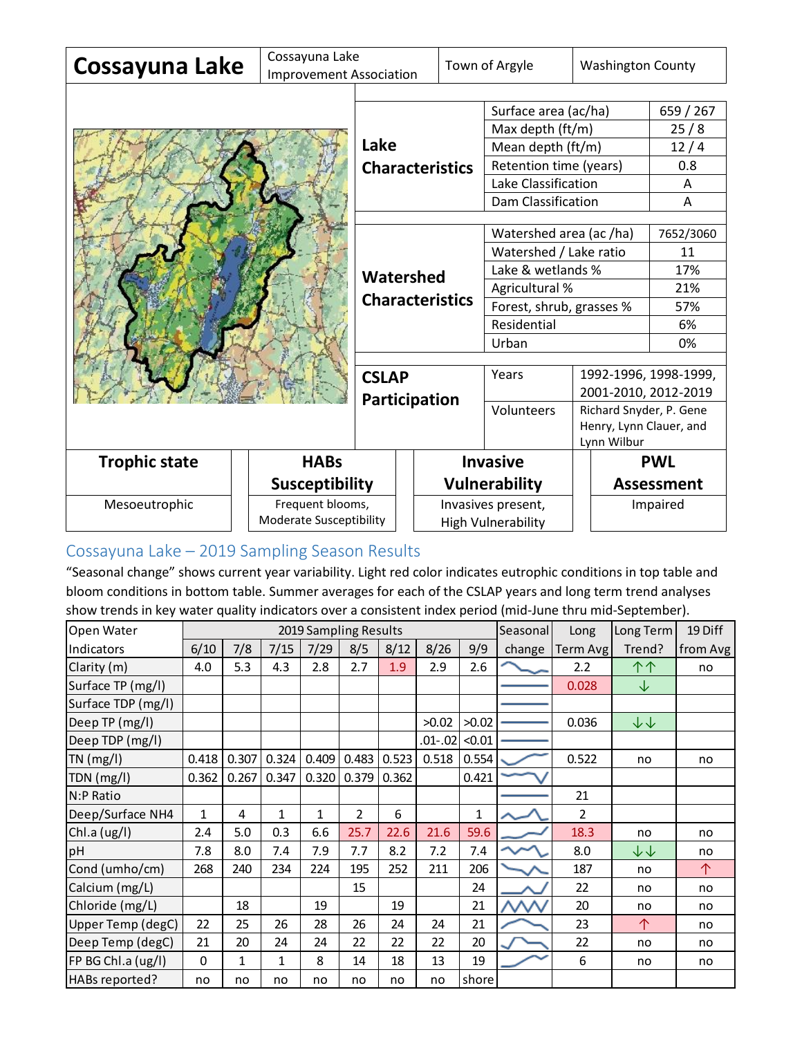| Cossayuna Lake       | Cossayuna Lake                      |                                                                             |  |                                                 | Town of Argyle         | <b>Washington County</b>               |                   |  |
|----------------------|-------------------------------------|-----------------------------------------------------------------------------|--|-------------------------------------------------|------------------------|----------------------------------------|-------------------|--|
|                      | <b>Improvement Association</b>      |                                                                             |  |                                                 |                        |                                        |                   |  |
|                      |                                     |                                                                             |  |                                                 | Surface area (ac/ha)   |                                        | 659 / 267         |  |
|                      | Lake                                |                                                                             |  | Max depth (ft/m)                                | 25/8                   |                                        |                   |  |
|                      |                                     |                                                                             |  | Mean depth (ft/m)                               | 12/4                   |                                        |                   |  |
|                      |                                     | <b>Characteristics</b>                                                      |  |                                                 | Retention time (years) | 0.8                                    |                   |  |
|                      |                                     |                                                                             |  |                                                 | Lake Classification    | A                                      |                   |  |
|                      |                                     |                                                                             |  | Dam Classification                              |                        | A                                      |                   |  |
|                      |                                     |                                                                             |  |                                                 |                        |                                        |                   |  |
|                      |                                     |                                                                             |  | Watershed area (ac /ha)                         | 7652/3060              |                                        |                   |  |
|                      |                                     |                                                                             |  | Watershed / Lake ratio                          |                        | 11<br>17%                              |                   |  |
|                      | Watershed<br><b>Characteristics</b> |                                                                             |  | Lake & wetlands %<br>Agricultural %             |                        | 21%                                    |                   |  |
|                      |                                     |                                                                             |  | Forest, shrub, grasses %                        | 57%                    |                                        |                   |  |
|                      |                                     |                                                                             |  | Residential                                     | 6%                     |                                        |                   |  |
|                      |                                     |                                                                             |  |                                                 | Urban                  | 0%                                     |                   |  |
|                      |                                     |                                                                             |  |                                                 |                        |                                        |                   |  |
|                      |                                     | <b>CSLAP</b>                                                                |  |                                                 | Years                  | 1992-1996, 1998-1999,                  |                   |  |
|                      |                                     | Participation                                                               |  |                                                 |                        | 2001-2010, 2012-2019                   |                   |  |
|                      |                                     |                                                                             |  |                                                 | Volunteers             | Richard Snyder, P. Gene                |                   |  |
|                      |                                     |                                                                             |  |                                                 |                        | Henry, Lynn Clauer, and<br>Lynn Wilbur |                   |  |
| <b>Trophic state</b> | <b>HABs</b>                         |                                                                             |  |                                                 | <b>Invasive</b>        | <b>PWL</b>                             |                   |  |
|                      |                                     |                                                                             |  |                                                 |                        |                                        | <b>Assessment</b> |  |
|                      |                                     | <b>Susceptibility</b><br>Frequent blooms,<br><b>Moderate Susceptibility</b> |  | <b>Vulnerability</b>                            |                        |                                        |                   |  |
| Mesoeutrophic        |                                     |                                                                             |  | Invasives present,<br><b>High Vulnerability</b> |                        |                                        | Impaired          |  |

# Cossayuna Lake – 2019 Sampling Season Results

"Seasonal change" shows current year variability. Light red color indicates eutrophic conditions in top table and bloom conditions in bottom table. Summer averages for each of the CSLAP years and long term trend analyses show trends in key water quality indicators over a consistent index period (mid-June thru mid-September).

| biooni conditions in bottom table. Summer averages for each or the est-allycals and long term trend analyses. |                       |              |              |              |                |       |           |        |           |                |                        |          |
|---------------------------------------------------------------------------------------------------------------|-----------------------|--------------|--------------|--------------|----------------|-------|-----------|--------|-----------|----------------|------------------------|----------|
| show trends in key water quality indicators over a consistent index period (mid-June thru mid-September).     |                       |              |              |              |                |       |           |        |           |                |                        |          |
| Open Water                                                                                                    | 2019 Sampling Results |              |              |              |                |       | Seasonal  | Long   | Long Term | 19 Diff        |                        |          |
| Indicators                                                                                                    | 6/10                  | 7/8          | 7/15         | 7/29         | 8/5            | 8/12  | 8/26      | 9/9    | change    | Term Avg       | Trend?                 | from Avg |
| Clarity (m)                                                                                                   | 4.0                   | 5.3          | 4.3          | 2.8          | 2.7            | 1.9   | 2.9       | 2.6    |           | 2.2            | 个个                     | no       |
| Surface TP (mg/l)                                                                                             |                       |              |              |              |                |       |           |        |           | 0.028          | ↓                      |          |
| Surface TDP (mg/l)                                                                                            |                       |              |              |              |                |       |           |        |           |                |                        |          |
| Deep TP (mg/l)                                                                                                |                       |              |              |              |                |       | >0.02     | >0.02  |           | 0.036          | ↓↓                     |          |
| Deep TDP (mg/l)                                                                                               |                       |              |              |              |                |       | $.01-.02$ | < 0.01 |           |                |                        |          |
| $TN$ (mg/l)                                                                                                   | 0.418                 | 0.307        | 0.324        | 0.409        | 0.483          | 0.523 | 0.518     | 0.554  |           | 0.522          | no                     | no       |
| TDN (mg/l)                                                                                                    | 0.362                 | 0.267        | 0.347        | 0.320        | 0.379          | 0.362 |           | 0.421  |           |                |                        |          |
| N:P Ratio                                                                                                     |                       |              |              |              |                |       |           |        |           | 21             |                        |          |
| Deep/Surface NH4                                                                                              | 1                     | 4            | $\mathbf{1}$ | $\mathbf{1}$ | $\overline{2}$ | 6     |           | 1      |           | $\overline{2}$ |                        |          |
| Chl.a (ug/l)                                                                                                  | 2.4                   | 5.0          | 0.3          | 6.6          | 25.7           | 22.6  | 21.6      | 59.6   |           | 18.3           | no                     | no       |
| pH                                                                                                            | 7.8                   | 8.0          | 7.4          | 7.9          | 7.7            | 8.2   | 7.2       | 7.4    |           | 8.0            | $\downarrow\downarrow$ | no       |
| Cond (umho/cm)                                                                                                | 268                   | 240          | 234          | 224          | 195            | 252   | 211       | 206    |           | 187            | no                     | 个        |
| Calcium (mg/L)                                                                                                |                       |              |              |              | 15             |       |           | 24     |           | 22             | no                     | no       |
| Chloride (mg/L)                                                                                               |                       | 18           |              | 19           |                | 19    |           | 21     |           | 20             | no                     | no       |
| Upper Temp (degC)                                                                                             | 22                    | 25           | 26           | 28           | 26             | 24    | 24        | 21     |           | 23             | 个                      | no       |
| Deep Temp (degC)                                                                                              | 21                    | 20           | 24           | 24           | 22             | 22    | 22        | 20     |           | 22             | no                     | no       |
| FP BG Chl.a (ug/l)                                                                                            | 0                     | $\mathbf{1}$ | $\mathbf{1}$ | 8            | 14             | 18    | 13        | 19     |           | 6              | no                     | no       |
| HABs reported?                                                                                                | no                    | no           | no           | no           | no             | no    | no        | shore  |           |                |                        |          |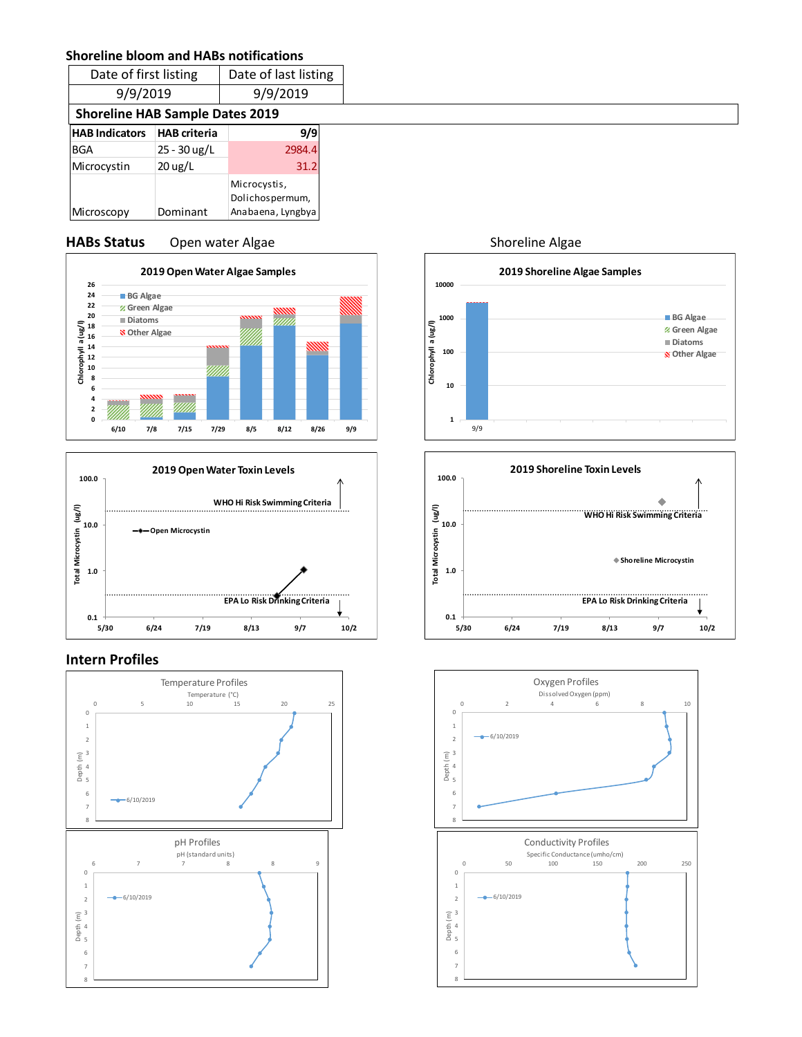#### **Shoreline bloom and HABs notifications**

| Date of first listing                  |                     | Date of last listing                                 |  |  |  |  |
|----------------------------------------|---------------------|------------------------------------------------------|--|--|--|--|
| 9/9/2019                               |                     | 9/9/2019                                             |  |  |  |  |
| <b>Shoreline HAB Sample Dates 2019</b> |                     |                                                      |  |  |  |  |
| <b>HAB Indicators</b>                  | <b>HAB</b> criteria | 9/9                                                  |  |  |  |  |
| <b>BGA</b>                             | 25 - 30 ug/L        | 2984.4                                               |  |  |  |  |
| Microcystin                            | $20 \text{ ug/L}$   | 31.2                                                 |  |  |  |  |
| Microscopy                             | Dominant            | Microcystis,<br>Dolichospermum,<br>Anabaena, Lyngbya |  |  |  |  |

#### **HABs Status** Open water Algae Shoreline Algae





#### **Intern Profiles**







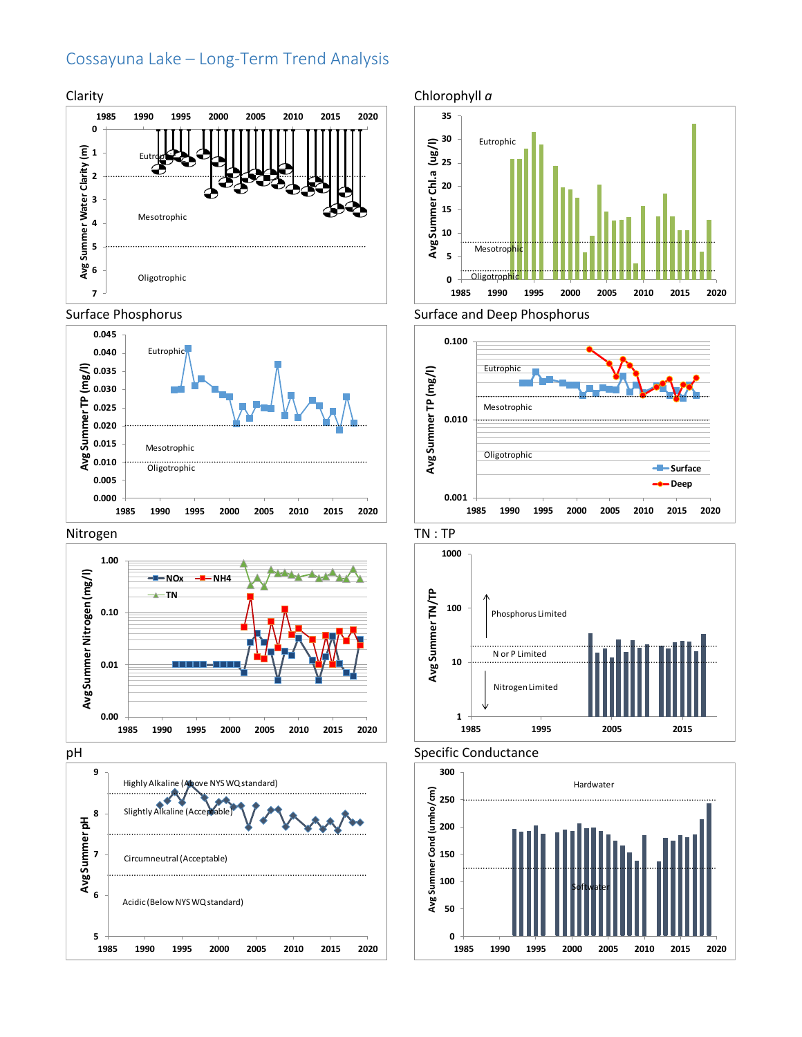## Cossayuna Lake – Long-Term Trend Analysis



#### Surface Phosphorus



#### Nitrogen



















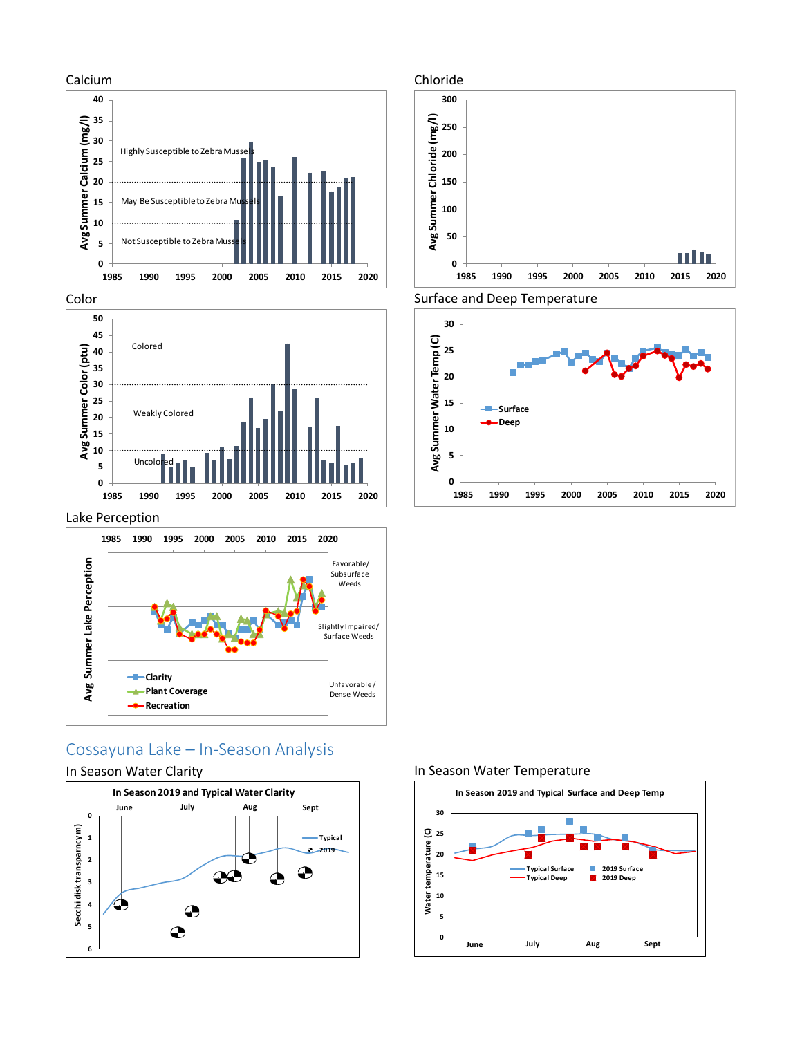







## Cossayuna Lake – In-Season Analysis

Unfavorable / Dense Weeds

#### In Season Water Clarity

**Clarity**

**Plant Coverage -0-** Recreation



#### In Season Water Temperature

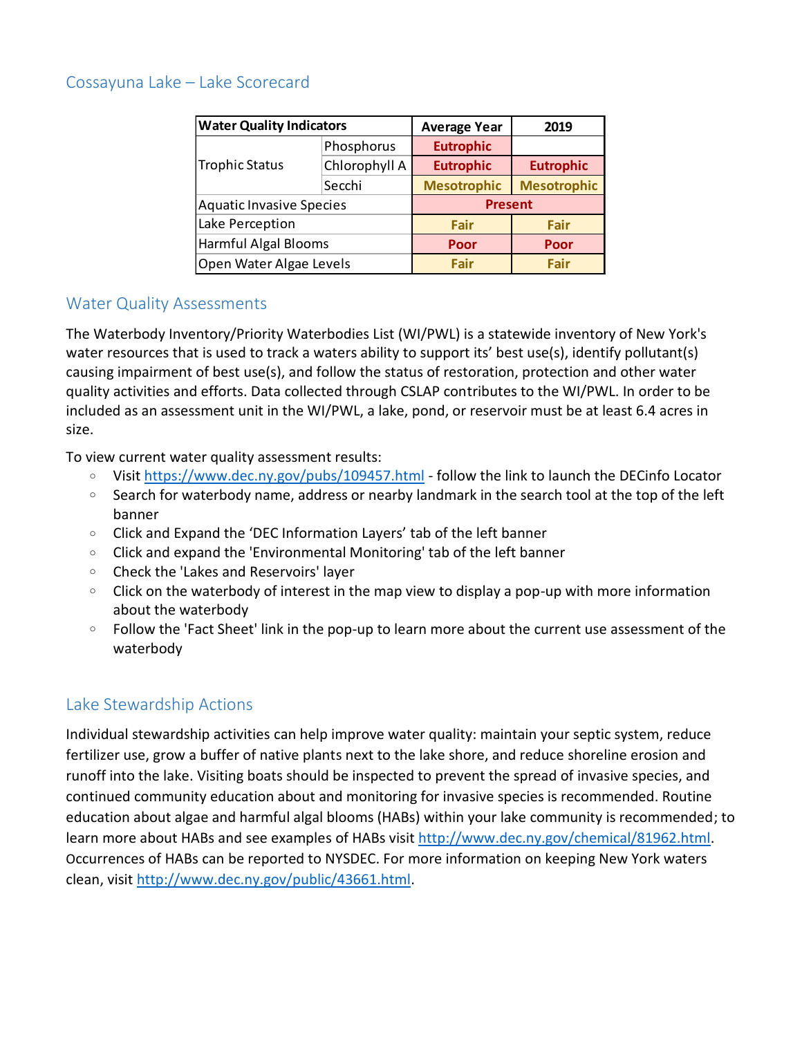## Cossayuna Lake – Lake Scorecard

| <b>Water Quality Indicators</b> |               | <b>Average Year</b> | 2019               |  |
|---------------------------------|---------------|---------------------|--------------------|--|
|                                 | Phosphorus    | <b>Eutrophic</b>    |                    |  |
| Trophic Status                  | Chlorophyll A | <b>Eutrophic</b>    | <b>Eutrophic</b>   |  |
|                                 | Secchi        | <b>Mesotrophic</b>  | <b>Mesotrophic</b> |  |
| <b>Aquatic Invasive Species</b> |               | <b>Present</b>      |                    |  |
| Lake Perception                 |               | Fair                | Fair               |  |
| Harmful Algal Blooms            |               | Poor                | Poor               |  |
| Open Water Algae Levels         |               | Fair                | Fair               |  |

## Water Quality Assessments

The Waterbody Inventory/Priority Waterbodies List (WI/PWL) is a statewide inventory of New York's water resources that is used to track a waters ability to support its' best use(s), identify pollutant(s) causing impairment of best use(s), and follow the status of restoration, protection and other water quality activities and efforts. Data collected through CSLAP contributes to the WI/PWL. In order to be included as an assessment unit in the WI/PWL, a lake, pond, or reservoir must be at least 6.4 acres in size.

To view current water quality assessment results:

- <sup>o</sup> Visit<https://www.dec.ny.gov/pubs/109457.html> follow the link to launch the DECinfo Locator
- $\circ$  Search for waterbody name, address or nearby landmark in the search tool at the top of the left banner
- <sup>o</sup> Click and Expand the 'DEC Information Layers' tab of the left banner
- Click and expand the 'Environmental Monitoring' tab of the left banner
- <sup>o</sup> Check the 'Lakes and Reservoirs' layer
- Click on the waterbody of interest in the map view to display a pop-up with more information about the waterbody
- $\circ$  Follow the 'Fact Sheet' link in the pop-up to learn more about the current use assessment of the waterbody

# Lake Stewardship Actions

Individual stewardship activities can help improve water quality: maintain your septic system, reduce fertilizer use, grow a buffer of native plants next to the lake shore, and reduce shoreline erosion and runoff into the lake. Visiting boats should be inspected to prevent the spread of invasive species, and continued community education about and monitoring for invasive species is recommended. Routine education about algae and harmful algal blooms (HABs) within your lake community is recommended; to learn more about HABs and see examples of HABs visit [http://www.dec.ny.gov/chemical/81962.html.](http://www.dec.ny.gov/chemical/81962.html) Occurrences of HABs can be reported to NYSDEC. For more information on keeping New York waters clean, visit [http://www.dec.ny.gov/public/43661.html.](http://www.dec.ny.gov/public/43661.html)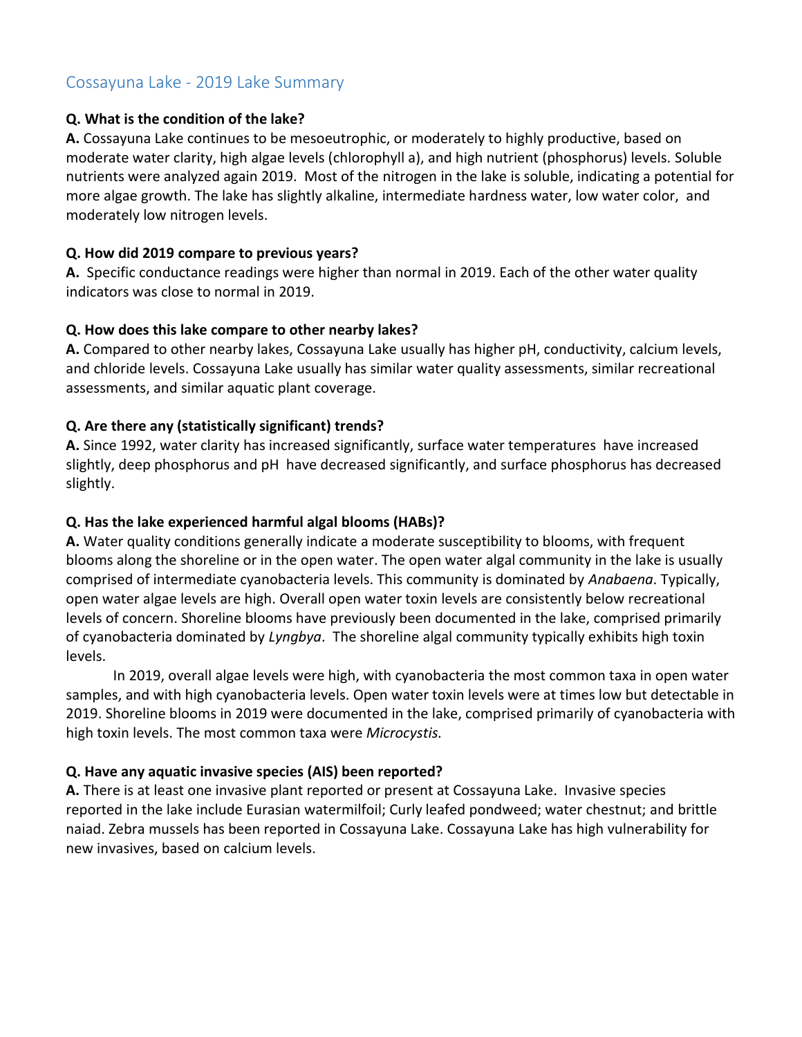## Cossayuna Lake - 2019 Lake Summary

#### **Q. What is the condition of the lake?**

**A.** Cossayuna Lake continues to be mesoeutrophic, or moderately to highly productive, based on moderate water clarity, high algae levels (chlorophyll a), and high nutrient (phosphorus) levels. Soluble nutrients were analyzed again 2019. Most of the nitrogen in the lake is soluble, indicating a potential for more algae growth. The lake has slightly alkaline, intermediate hardness water, low water color, and moderately low nitrogen levels.

#### **Q. How did 2019 compare to previous years?**

**A.** Specific conductance readings were higher than normal in 2019. Each of the other water quality indicators was close to normal in 2019.

#### **Q. How does this lake compare to other nearby lakes?**

**A.** Compared to other nearby lakes, Cossayuna Lake usually has higher pH, conductivity, calcium levels, and chloride levels. Cossayuna Lake usually has similar water quality assessments, similar recreational assessments, and similar aquatic plant coverage.

### **Q. Are there any (statistically significant) trends?**

**A.** Since 1992, water clarity has increased significantly, surface water temperatures have increased slightly, deep phosphorus and pH have decreased significantly, and surface phosphorus has decreased slightly.

#### **Q. Has the lake experienced harmful algal blooms (HABs)?**

**A.** Water quality conditions generally indicate a moderate susceptibility to blooms, with frequent blooms along the shoreline or in the open water. The open water algal community in the lake is usually comprised of intermediate cyanobacteria levels. This community is dominated by *Anabaena*. Typically, open water algae levels are high. Overall open water toxin levels are consistently below recreational levels of concern. Shoreline blooms have previously been documented in the lake, comprised primarily of cyanobacteria dominated by *Lyngbya*. The shoreline algal community typically exhibits high toxin levels.

In 2019, overall algae levels were high, with cyanobacteria the most common taxa in open water samples, and with high cyanobacteria levels. Open water toxin levels were at times low but detectable in 2019. Shoreline blooms in 2019 were documented in the lake, comprised primarily of cyanobacteria with high toxin levels. The most common taxa were *Microcystis.*

### **Q. Have any aquatic invasive species (AIS) been reported?**

**A.** There is at least one invasive plant reported or present at Cossayuna Lake. Invasive species reported in the lake include Eurasian watermilfoil; Curly leafed pondweed; water chestnut; and brittle naiad. Zebra mussels has been reported in Cossayuna Lake. Cossayuna Lake has high vulnerability for new invasives, based on calcium levels.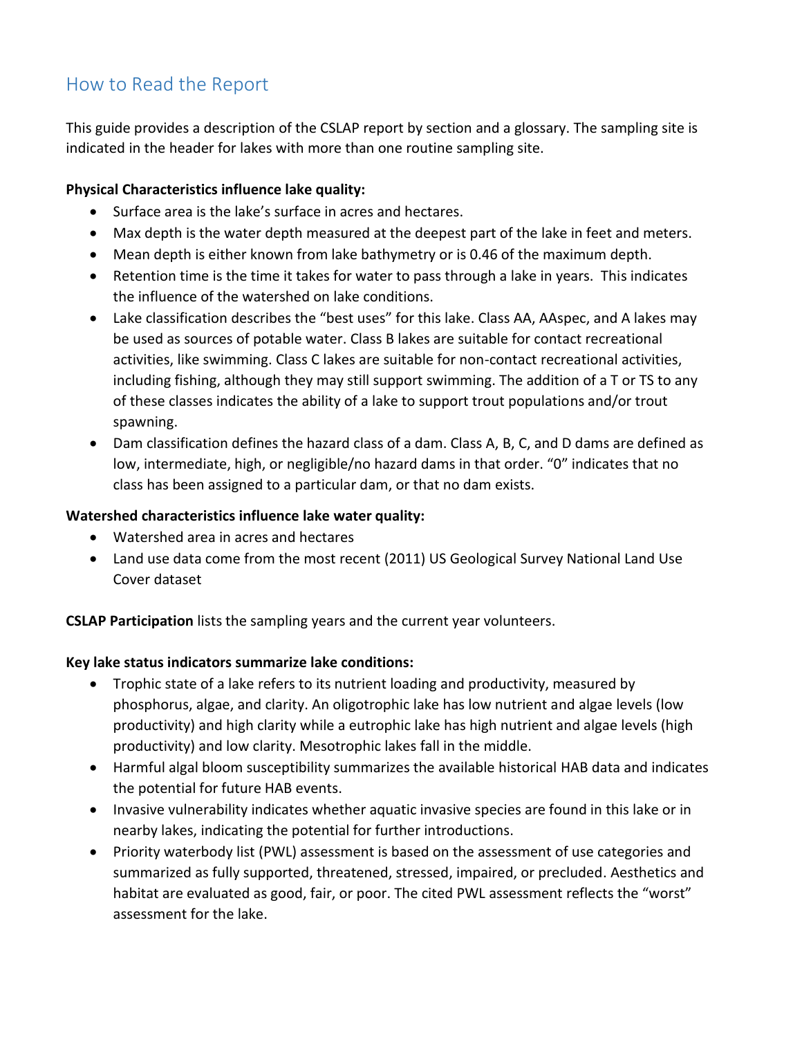# How to Read the Report

This guide provides a description of the CSLAP report by section and a glossary. The sampling site is indicated in the header for lakes with more than one routine sampling site.

## **Physical Characteristics influence lake quality:**

- Surface area is the lake's surface in acres and hectares.
- Max depth is the water depth measured at the deepest part of the lake in feet and meters.
- Mean depth is either known from lake bathymetry or is 0.46 of the maximum depth.
- Retention time is the time it takes for water to pass through a lake in years. This indicates the influence of the watershed on lake conditions.
- Lake classification describes the "best uses" for this lake. Class AA, AAspec, and A lakes may be used as sources of potable water. Class B lakes are suitable for contact recreational activities, like swimming. Class C lakes are suitable for non-contact recreational activities, including fishing, although they may still support swimming. The addition of a T or TS to any of these classes indicates the ability of a lake to support trout populations and/or trout spawning.
- Dam classification defines the hazard class of a dam. Class A, B, C, and D dams are defined as low, intermediate, high, or negligible/no hazard dams in that order. "0" indicates that no class has been assigned to a particular dam, or that no dam exists.

### **Watershed characteristics influence lake water quality:**

- Watershed area in acres and hectares
- Land use data come from the most recent (2011) US Geological Survey National Land Use Cover dataset

**CSLAP Participation** lists the sampling years and the current year volunteers.

### **Key lake status indicators summarize lake conditions:**

- Trophic state of a lake refers to its nutrient loading and productivity, measured by phosphorus, algae, and clarity. An oligotrophic lake has low nutrient and algae levels (low productivity) and high clarity while a eutrophic lake has high nutrient and algae levels (high productivity) and low clarity. Mesotrophic lakes fall in the middle.
- Harmful algal bloom susceptibility summarizes the available historical HAB data and indicates the potential for future HAB events.
- Invasive vulnerability indicates whether aquatic invasive species are found in this lake or in nearby lakes, indicating the potential for further introductions.
- Priority waterbody list (PWL) assessment is based on the assessment of use categories and summarized as fully supported, threatened, stressed, impaired, or precluded. Aesthetics and habitat are evaluated as good, fair, or poor. The cited PWL assessment reflects the "worst" assessment for the lake.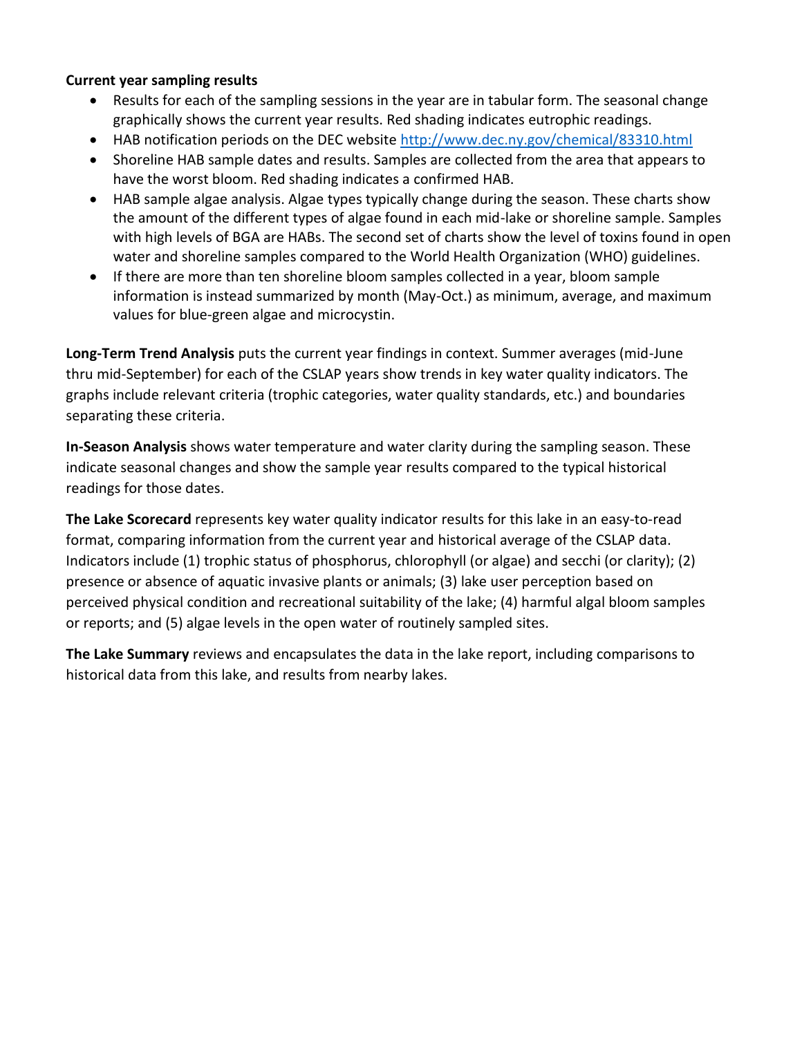#### **Current year sampling results**

- Results for each of the sampling sessions in the year are in tabular form. The seasonal change graphically shows the current year results. Red shading indicates eutrophic readings.
- HAB notification periods on the DEC website<http://www.dec.ny.gov/chemical/83310.html>
- Shoreline HAB sample dates and results. Samples are collected from the area that appears to have the worst bloom. Red shading indicates a confirmed HAB.
- HAB sample algae analysis. Algae types typically change during the season. These charts show the amount of the different types of algae found in each mid-lake or shoreline sample. Samples with high levels of BGA are HABs. The second set of charts show the level of toxins found in open water and shoreline samples compared to the World Health Organization (WHO) guidelines.
- If there are more than ten shoreline bloom samples collected in a year, bloom sample information is instead summarized by month (May-Oct.) as minimum, average, and maximum values for blue-green algae and microcystin.

**Long-Term Trend Analysis** puts the current year findings in context. Summer averages (mid-June thru mid-September) for each of the CSLAP years show trends in key water quality indicators. The graphs include relevant criteria (trophic categories, water quality standards, etc.) and boundaries separating these criteria.

**In-Season Analysis** shows water temperature and water clarity during the sampling season. These indicate seasonal changes and show the sample year results compared to the typical historical readings for those dates.

**The Lake Scorecard** represents key water quality indicator results for this lake in an easy-to-read format, comparing information from the current year and historical average of the CSLAP data. Indicators include (1) trophic status of phosphorus, chlorophyll (or algae) and secchi (or clarity); (2) presence or absence of aquatic invasive plants or animals; (3) lake user perception based on perceived physical condition and recreational suitability of the lake; (4) harmful algal bloom samples or reports; and (5) algae levels in the open water of routinely sampled sites.

**The Lake Summary** reviews and encapsulates the data in the lake report, including comparisons to historical data from this lake, and results from nearby lakes.